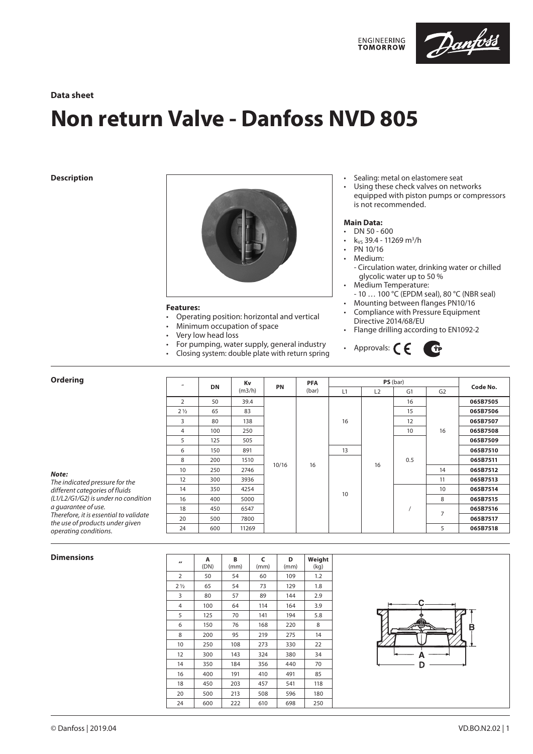

# **Data sheet**

# **Non return Valve - Danfoss NVD 805**

**Description**



# **Features:**

- Operating position: horizontal and vertical
- Minimum occupation of space
- Very low head loss
- For pumping, water supply, general industry
- Closing system: double plate with return spring
- Sealing: metal on elastomere seat
- Using these check valves on networks equipped with piston pumps or compressors is not recommended.

# **Main Data:**

- DN 50 600
- k<sub>vs</sub> 39.4 11269 m<sup>3</sup>/h
- PN 10/16<br>• Medium:
	- Medium:
	- Circulation water, drinking water or chilled glycolic water up to 50 %
- Medium Temperature: - 10 … 100 °C (EPDM seal), 80 °C (NBR seal)
- Mounting between flanges PN10/16
- Compliance with Pressure Equipment Directive 2014/68/EU
- Flange drilling according to EN1092-2
- $\bf G$ • Approvals:  $\subset \subset \subset$

| <b>Ordering</b>                                                                                                                                                                                                                               | $\overline{\phantom{a}}$ | <b>DN</b> | Kv<br>(m3/h) | PN    | <b>PFA</b><br>(bar) | PS(bar) |    |     |                |          |
|-----------------------------------------------------------------------------------------------------------------------------------------------------------------------------------------------------------------------------------------------|--------------------------|-----------|--------------|-------|---------------------|---------|----|-----|----------------|----------|
|                                                                                                                                                                                                                                               |                          |           |              |       |                     | L1      | L2 | G1  | G <sub>2</sub> | Code No. |
|                                                                                                                                                                                                                                               | $\overline{2}$           | 50        | 39.4         |       |                     |         |    | 16  |                | 065B7505 |
|                                                                                                                                                                                                                                               | $2\frac{1}{2}$           | 65        | 83           |       |                     | 16      |    | 15  |                | 065B7506 |
|                                                                                                                                                                                                                                               | 3                        | 80        | 138          |       |                     |         |    | 12  |                | 065B7507 |
|                                                                                                                                                                                                                                               | 4                        | 100       | 250          |       |                     |         |    | 10  | 16             | 065B7508 |
|                                                                                                                                                                                                                                               | 5                        | 125       | 505          |       |                     |         |    |     |                | 065B7509 |
|                                                                                                                                                                                                                                               | 6                        | 150       | 891          |       |                     | 13      |    |     |                | 065B7510 |
|                                                                                                                                                                                                                                               | 8                        | 200       | 1510         |       |                     |         |    | 0.5 |                | 065B7511 |
| Note:<br>The indicated pressure for the<br>different categories of fluids<br>(L1/L2/G1/G2) is under no condition<br>a guarantee of use.<br>Therefore, it is essential to validate<br>the use of products under given<br>operating conditions. | 10                       | 250       | 2746         | 10/16 | 16                  | 10      | 16 |     | 14             | 065B7512 |
|                                                                                                                                                                                                                                               | 12                       | 300       | 3936         |       |                     |         |    |     | 11             | 065B7513 |
|                                                                                                                                                                                                                                               | 14                       | 350       | 4254         |       |                     |         |    |     | 10             | 065B7514 |
|                                                                                                                                                                                                                                               | 16                       | 400       | 5000         |       |                     |         |    |     | 8              | 065B7515 |
|                                                                                                                                                                                                                                               | 18                       | 450       | 6547         |       |                     |         |    |     | $\overline{7}$ | 065B7516 |
|                                                                                                                                                                                                                                               | 20                       | 500       | 7800         |       |                     |         |    |     |                | 065B7517 |
|                                                                                                                                                                                                                                               | 24                       | 600       | 11269        |       |                     |         |    |     | 5              | 065B7518 |

### **Dimensions**

| $\overline{\mathbf{r}}$ | A<br>(DN) | B<br>(mm) | C<br>(mm) | D<br>(mm) | Weight<br>(kq) |
|-------------------------|-----------|-----------|-----------|-----------|----------------|
| $\overline{2}$          | 50        | 54        | 60        | 109       | 1.2            |
| 2 <sub>1/2</sub>        | 65        | 54        | 73        | 129       | 1.8            |
| 3                       | 80        | 57        | 89        | 144       | 2.9            |
| $\overline{4}$          | 100       | 64        | 114       | 164       | 3.9            |
| 5                       | 125       | 70        | 141       | 194       | 5.8            |
| 6                       | 150       | 76        | 168       | 220       | 8              |
| 8                       | 200       | 95        | 219       | 275       | 14             |
| 10                      | 250       | 108       | 273       | 330       | 22             |
| 12                      | 300       | 143       | 324       | 380       | 34             |
| 14                      | 350       | 184       | 356       | 440       | 70             |
| 16                      | 400       | 191       | 410       | 491       | 85             |
| 18                      | 450       | 203       | 457       | 541       | 118            |
| 20                      | 500       | 213       | 508       | 596       | 180            |
| 24                      | 600       | 222       | 610       | 698       | 250            |